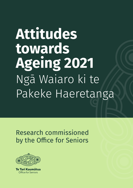# **Attitudes towards Ageing 2021** Ngā Waiaro ki te Pakeke Haeretanga

Research commissioned by the Office for Seniors



Te Tari Kaumātua **Office for Seniors**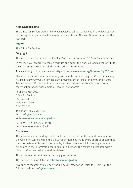#### **Acknowledgements**

The Office for Seniors would like to acknowledge all those involved in the development of this report; in particular, the survey participants and Nielsen IQ, who conducted the research.

#### **Author**

The Office for Seniors

#### **Copyright**

This work is licensed under the Creative Commons Attribution 3.0 New Zealand licence.

In essence, you are free to copy, distribute and adapt the work, as long as you attribute the work to the Crown and abide by the other licence terms.

To view a copy of this licence, visit **https://creativecommons.org/licenses/by/3.0/nz**

Please note that no departmental or governmental emblem, logo or Coat of Arms may be used in any way which infringes any provision of the Flags, Emblems, and Names Protection Act 1981. Attribution to the Crown should be in written form and not by reproduction of any such emblem, logo or Coat of Arms.

Published May 2022 Office for Seniors PO Box 1556 Wellington 6140 New Zealand

Telephone: +64 4 916 3300 Email: ofs@msd.govt.nz Web: **www.officeforseniors.govt.nz**

ISBN: 978-1-99-002396-5 (print) ISBN: 978-1-99-002397-2 (web)

#### **Disclaimer**

The views, opinions, findings, and conclusions expressed in this report are made by the Office for Seniors. While the Office for Seniors has made every effort to ensure that the information in this report is reliable, it takes no responsibility for any errors or omissions in the information contained in this report. The report is presented with a view to inform and stimulate wider debate.

This document has not been externally peer reviewed.

The document is available at: **[officeforseniors.govt.nz](http://officeforseniors.govt.nz)**

Any queries regarding this report should be directed to the Office for Seniors at the following address: **ofs@msd.govt.nz**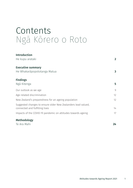### Contents Ngā Kōrero o Roto

| <b>Introduction</b>                                                                             |              |
|-------------------------------------------------------------------------------------------------|--------------|
| He kupu arataki                                                                                 | $\mathbf{2}$ |
| <b>Executive summary</b>                                                                        |              |
| He Whakarāpopototanga Matua                                                                     | $\mathbf{3}$ |
| <b>Findings</b>                                                                                 |              |
| Ngā Kitenga                                                                                     | 5            |
| Our outlook as we age                                                                           | 9            |
| Age-related discrimination                                                                      | 12           |
| New Zealand's preparedness for an ageing population                                             | 12           |
| Suggested changes to ensure older New Zealanders lead valued,<br>connected and fulfilling lives | 14           |
| Impacts of the COVID-19 pandemic on attitudes towards ageing                                    | 17           |
| <b>Methodology</b>                                                                              |              |
| Te Ara Mahi                                                                                     | 24           |

Attitudes towards Ageing Report 2021 1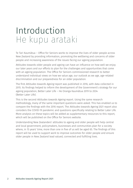### <span id="page-3-0"></span>Introduction He kupu arataki

Te Tari Kaumātua – Office for Seniors works to improve the lives of older people across New Zealand by providing information, promoting the wellbeing and concerns of older people and increasing awareness of the issues facing our ageing population.

Attitudes towards older people and ageing can have an influence on how well we enjoy our later years and our efforts to plan for the challenges and opportunities that come with an ageing population. The Office for Seniors commissioned research to better understand individual views on how we value age, our outlook as we age, age-related discrimination and our preparedness for an older population.

The first Attitudes towards Ageing report was published in 2016, with data collected in 2015. Its findings helped to inform the development of the Government's strategy for our ageing population, Better Later Life – He Oranga Kaumātua 2019 to 2034 (Better Later Life).

This is the second Attitudes towards Ageing report. Using the same research methodology, many of the same important questions were asked. This has enabled us to compare the findings with the 2016 report. The Attitudes towards Ageing 2021 report also considers the COVID-19 pandemic and questions specifically relating to Better Later Life. More analysis on these topics will be added as supplementary resources to this report, which will be published on the Office for Seniors website.

Understanding New Zealanders' attitudes to ageing and older people will help central and local government, policymakers, businesses and communities plan for a society where, in 15 years' time, more than one in five of us will be aged 65. The findings of this report will be used to support work to improve outcomes for older people and ensure older people in New Zealand lead valued, connected and fulfilling lives.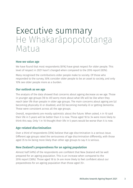### <span id="page-4-0"></span>Executive summary He Whakarāpopototanga Matua

#### **How we value age**

We have found that most respondents (81%) have great respect for older people. This level of respect in 2021 hasn't changed when compared to the 2016 report (83%).

Many recognised the contributions older people make to society. Of those who responded to the survey, 50% consider older people to be an asset to society, and only 10% see older people more as a burden.

#### **Our outlook as we age**

The analysis of the data showed that concerns about ageing decrease as we age. Those in younger age groups (18 to 49) worry more about what life will be like when they reach later life than people in older age groups. The main concerns about ageing are (a) becoming physically ill or disabled, and (b) becoming mentally ill or getting dementia. These were consistent across all the age groups.

Overall, respondents are mostly optimistic about the future. When asked, 4 in 10 said their life in 5 years will be better than it is now. Those aged 18 to 34 were more likely to think this way. Only 1 in 10 thought their life in 5 years would be worse than it is now.

#### **Age-related discrimination**

Over a third of respondents (35%) believe that age discrimination is a serious issue. Different age groups rated the seriousness of age discrimination differently, with those aged 35 to 64 being more likely than other age groups to say it is serious.

#### **New Zealand's preparedness for an ageing population**

Almost half (49%) of the respondents are confident that New Zealand will be well prepared for an ageing population. This is an increase when compared to the 2016 report (38%). Those aged 18 to 34 are more likely to feel confident about our preparedness for an ageing population than those aged 35+.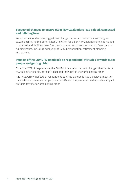#### **Suggested changes to ensure older New Zealanders lead valued, connected and fulfilling lives**

We asked respondents to suggest one change that would make the most progress towards achieving the Better Later Life vision for older New Zealanders to lead valued, connected and fulfilling lives. The most common responses focused on financial and funding issues, including adequacy of NZ Superannuation, retirement planning and savings.

#### **Impacts of the COVID-19 pandemic on respondents' attitudes towards older people and getting older**

For about 70% of respondents, the COVID-19 pandemic has not changed their attitude towards older people, nor has it changed their attitude towards getting older.

It is noteworthy that 23% of respondents said the pandemic had a positive impact on their attitude towards older people, and 16% said the pandemic had a positive impact on their attitude towards getting older.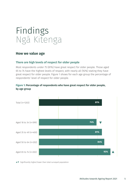## <span id="page-6-0"></span>Findings Ngā Kitenga

#### **How we value age**

#### **There are high levels of respect for older people**

Most respondents under 75 (81%) have great respect for older people. Those aged 65 to 74 have the highest levels of respect, with nearly all (92%) stating they have great respect for older people. Figure 1 shows for each age group the percentage of respondents' level of respect for older people.

#### **Figure 1: Percentage of respondents who have great respect for older people, by age group**

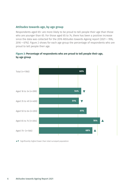#### **Attitudes towards age, by age group**

Respondents aged 65+ are more likely to be proud to tell people their age than those who are younger than 65. For those aged 65 to 74, there has been a positive increase since the data was collected for the 2016 Attitudes towards Ageing report (2021 = 78%; 2016 = 67%). Figure 2 shows for each age group the percentage of respondents who are proud to tell people their age.

#### **Figure 2: Percentage of respondents who are proud to tell people their age, by age group**

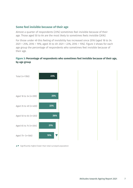#### **Some feel invisible because of their age**

Almost a quarter of respondents (23%) sometimes feel invisible because of their age. Those aged 50 to 64 are the most likely to sometimes feels invisible (26%).

For those under 49 this feeling of invisibility has increased since 2016 (aged 18 to 34: 2021 = 25%, 2016 = 19%; aged 35 to 49: 2021 = 22%, 2016 = 15%). Figure 3 shows for each age group the percentage of respondents who sometimes feel invisible because of their age.

#### **Figure 3: Percentage of respondents who sometimes feel invisible because of their age, by age group**

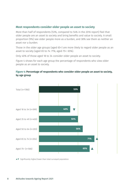#### **Most respondents consider older people an asset to society**

More than half of respondents (53%, compared to 54% in the 2016 report) feel that older people are an asset to society and bring benefits and value to society. A small proportion (9%) see older people more as a burden, and 38% see them as neither an asset nor a burden.

Those in the older age groups (aged 65+) are more likely to regard older people as an asset to society (aged 65 to 74: 71%; aged 75+: 65%).

Only 40% of those aged 18 to 34 consider older people an asset to society.

Figure 4 shows for each age group the percentage of respondents who view older people as an asset to society.



#### **Figure 4: Percentage of respondents who consider older people an asset to society, by age group**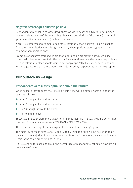#### <span id="page-10-0"></span>**Negative stereotypes outstrip positive**

Respondents were asked to write down three words to describe a typical older person in New Zealand. Many of the words they chose are descriptive of situations (e.g. retired grandparent) or appearance (grey-haired, wrinkled).

Negative stereotypes were mentioned more commonly than positive. This is a change from the 2016 Attitudes towards Ageing report, where positive stereotypes were more common than negative ones.

Examples of negative stereotypes are that older people are slowing down, wrinkled, have health issues and are frail. The most widely mentioned positive words respondents used in relation to older people were: wise, happy, sprightly, life experienced, kind and knowledgeable. Many of these words were also used by respondents in the 2016 report.

#### **Our outlook as we age**

#### **Respondents were mostly optimistic about their future**

When asked if they thought their life in 5 years' time will be better, worse or about the same as it is now:

- $\triangleright$  4 in 10 thought it would be better
- ▶ 4 in 10 thought it would be the same
- ▶ 1 in 10 thought it would be worse
- $\blacktriangleright$  1 in 10 didn't know.

Those aged 18 to 34 were more likely to think that their life in 5 years will be better than it is now. This is an increase from 2016 (2021 = 64%; 2016 = 55%).

There has been no significant change in the views of the other age groups.

The majority of those aged 35 to 49 and 50 to 64 think their life will be better or about the same. The majority of those aged 65 to 74 think it will be about the same as it is now – this is the same proportion as in 2016.

Figure 5 shows for each age group the percentage of respondents' rating on how life will be in 5 years' time.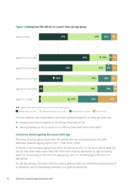

#### **Figure 5: Rating how life will be in 5 years' time, by age group**

The two aspects that respondents are most looking forward to as they get older are:

- ▶ having more time to spend on the things they want to do
- ▶ having freedom to do as much or as little as they want when they want.

#### **Concerns about ageing decrease with age**

The level of worry about what later life will be like has increased since the 2016 Attitudes towards Ageing report (2021 = 54%; 2016 = 49%).

Of those in the younger age groups (18 to 34 and 35 to 49), 6 in 10 worry about what life will be like when they reach later life. This level of worry decreases as age increases, with 5 in 10 worrying in the 50 to 64 age group, and 4 in 10 worrying in the 65 to 74 age group.

For all age groups, the main concerns about getting older are (a) becoming physically ill or disabled, and (b) becoming mentally ill or getting dementia.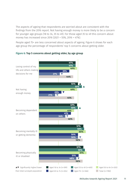The aspects of ageing that respondents are worried about are consistent with the findings from the 2016 report. Not having enough money is more likely to be a concern for younger age groups (18 to 34, 35 to 49). For those aged 35 to 49 this concern about money has increased since 2016 (2021 = 55%, 2016 = 47%).

People aged 75+ are less concerned about aspects of ageing. Figure 6 shows for each age group the percentage of respondents' top 5 concerns about getting older.



#### **Figure 6: Top 5 concerns about getting older, by age group**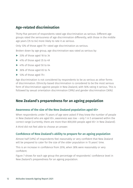#### <span id="page-13-0"></span>**Age-related discrimination**

Thirty-five percent of respondents rated age discrimination as serious. Different age groups rated the seriousness of age discrimination differently, with those in the middle age years (35 to 64) more likely to rate it as serious.

Only 12% of those aged 75+ rated age discrimination as serious.

Broken down by age group, age discrimination was rated as serious by:

- ▶ 33% of those aged 18 to 34
- ▶ 41% of those aged 35 to 49
- ▶ 41% of those aged 50 to 64
- ▶ 36% of those aged 65 to 74
- $\blacktriangleright$  12% of those aged 75+.

Age discrimination is not considered by respondents to be as serious as other forms of discrimination. Ethnicity-based discrimination is considered to be the most serious form of discrimination against people in New Zealand, with 56% rating it serious. This is followed by sexual orientation discrimination (39%) and gender discrimination (36%).

#### **New Zealand's preparedness for an ageing population**

#### **Awareness of the size of the New Zealand population aged 65+**

When respondents under 75 years of age were asked if they knew the number of people in New Zealand who are aged 65+, awareness was low – only 1 in 5 answered within the correct range (currently, there are more than 800,000 people aged 65+ in New Zealand).

A third did not feel able to choose an answer.

#### **Confidence of New Zealand's ability to prepare for an ageing population**

Almost half (49%) of respondents feel reasonably or very confident that New Zealand will be prepared to cater for the size of the older population in 15 years' time.

This is an increase in confidence from 2016, when 38% were reasonably or very confident.

Figure 7 shows for each age group the percentage of respondents' confidence level in New Zealand's preparedness for an ageing population.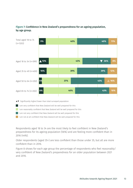

#### **Figure 7: Confidence in New Zealand's preparedness for an ageing population, by age group.**

▲▼ Significantly higher/lower than total surveyed population

I am very confident that New Zealand will be well prepared for this

I am reasonably confident that New Zealand will be well prepared for this

I am not very confident that New Zealand will be well prepared for this

I am not at all confident that New Zealand will be well prepared for this

Respondents aged 18 to 34 are the most likely to feel confident in New Zealand's preparedness for its ageing population (56%) and are feeling more confident than in 2016 (44%).

Older respondents (aged 35+) are less confident than those under 35, but all are more confident than in 2016.

Figure 8 shows for each age group the percentage of respondents who feel reasonably/ very confident of New Zealand's preparedness for an older population between 2021 and 2016.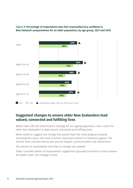

<span id="page-15-0"></span>**Figure 8: Percentage of respondents who feel reasonably/very confident in New Zealand's preparedness for an older population, by age group, 2021 and 2016**

#### **Suggested changes to ensure older New Zealanders lead valued, connected and fulfilling lives**

Better Later Life, the Government's strategy for our ageing population, has a vision for older New Zealanders to lead valued, connected and fulfilling lives.

When asked to suggest one change that would make the most progress towards achieving this vision, the most common responses centred on financial support. The second most common theme was around respect, communication and interactions.

Ten percent of respondents said that no change was needed.

Table 1 provides details of respondents' suggestions (grouped by theme) to help achieve the Better Later Life strategy's vision.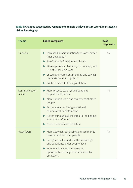#### **Table 1: Changes suggested by respondents to help achieve Better Later Life strategy's vision, by category**

| <b>Theme</b>              | <b>Coded categories</b>                                                                                                                                                                                                                                                                   | % of<br>responses |
|---------------------------|-------------------------------------------------------------------------------------------------------------------------------------------------------------------------------------------------------------------------------------------------------------------------------------------|-------------------|
| Financial                 | Increased superannuation/pensions; better<br>financial support<br>Free/better/affordable health care<br>More age-related benefits, cost savings, and<br>use of Super Gold Card<br>Encourage retirement planning and saving;<br>▶<br>make KiwiSaver compulsory                             | 24                |
|                           | $\triangleright$ Control the cost of living/inflation                                                                                                                                                                                                                                     |                   |
| Communication/<br>respect | More respect; teach young people to<br>respect older people<br>More support, care and awareness of older<br>people<br>Encourage more intergenerational<br>communication/interaction<br>Better communication; listen to the people;<br>keep them informed<br>Focus on loneliness/isolation | 18                |
| Value/work                | More activities, socialising and community<br>involvement for older people<br>Recognise, value and use the knowledge<br>and experience older people have<br>More employment and part-time<br>opportunities; no age discrimination by<br>employers                                         | 13                |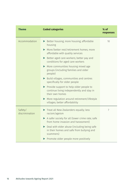| <b>Theme</b>              | <b>Coded categories</b>                                                                                 | % of<br>responses |
|---------------------------|---------------------------------------------------------------------------------------------------------|-------------------|
| Accommodation             | Better housing; more housing; affordable<br>housing                                                     | 10                |
|                           | More/better rest/retirement homes; more<br>affordable with quality services                             |                   |
|                           | Better aged care workers; better pay and<br>conditions for aged care workers                            |                   |
|                           | $\triangleright$ More communities housing mixed age<br>groups (including families and older<br>people)  |                   |
|                           | Build villages, communities and centres<br>specifically for older people                                |                   |
|                           | Provide support to help older people to<br>continue living independently and stay in<br>their own homes |                   |
|                           | More regulation around retirement/lifestyle<br>villages; better affordability                           |                   |
| Safety/<br>discrimination | Treat all New Zealanders equally; less<br>racism/ageism                                                 | $\overline{7}$    |
|                           | A safer society for all (lower crime rate; safe<br>from home invasion and harassment)                   |                   |
|                           | Deal with elder abuse (including being safe<br>in their homes and safe from bullying and<br>scammers)   |                   |
|                           | Promote older people more positively                                                                    |                   |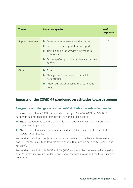<span id="page-18-0"></span>

| <b>Theme</b>     | <b>Coded categories</b>                                                                                                                                                                                                    | $%$ of<br>responses |
|------------------|----------------------------------------------------------------------------------------------------------------------------------------------------------------------------------------------------------------------------|---------------------|
| Support/services | $\blacktriangleright$ Easier access to services and facilities<br>Better public transport; free transport<br>Training and support with new/modern<br>technology<br>Encourage/support families to care for their<br>parents | 5                   |
| Other            | Other<br>Change the Government; too much focus on<br>beneficiaries<br>Address/make changes to the retirement<br>policy                                                                                                     | 11                  |

#### **Impacts of the COVID-19 pandemic on attitudes towards ageing**

#### **Age groups and changes in respondents' attitudes towards older people**

For most respondents (70%), particularly those aged 65 to 74 (83%) the COVID-19 pandemic has not changed their attitude towards older people:

- ▶ 23% of respondents said the pandemic had a positive impact on their attitude towards older people
- ▶ 7% of respondents said the pandemic had a negative impact on their attitude towards older people.

Respondents aged 18 to 34 (32%) and 35 to 49 (25%) are more likely to have had a positive change in attitude towards older people than people aged 65 to 74 (12%) and 75+ (16%).

Respondents aged 18 to 34 (11%) and 75+ (12%) are more likely to have had a negative change in attitude towards older people than other age groups and the total surveyed population.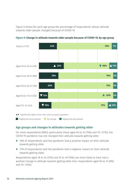Figure 9 shows for each age group the percentage of respondents' whose attitude towards older people changed because of COVID-19.



**Figure 9: Change in attitude towards older people because of COVID-19, by age group**

 $\blacksquare$  Slightly/lot more positive  $\blacksquare$  No change  $\blacksquare$  Slightly/lot less positive

#### **Age groups and changes in attitudes towards getting older**

For most respondents (68%), particularly those aged 65 to 74 (75%) and 75+ (77%), the COVID-19 pandemic has not changed their attitude towards getting older:

- $\triangleright$  16% of respondents said the pandemic had a positive impact on their attitude towards getting older
- ▶ 17% of respondents said the pandemic had a negative impact on their attitude towards getting older.

Respondents aged 18 to 34 (21%) and 35 to 49 (18%) are more likely to have had a positive change in attitude towards getting older than respondents aged 65 to 74 (8%) and 75+ (10%).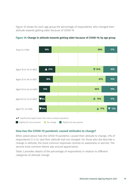Figure 10 shows for each age group the percentage of respondents' who changed their attitude towards getting older because of COVID-19.



**Figure 10: Change in attitude towards getting older because of COVID-19, by age group**

#### **How has the COVID-19 pandemic caused attitudes to change?**

When asked about how the COVID-19 pandemic caused their attitude to change, 21% of respondents (1 in 5), said their attitude had not changed. For those who did describe a change in attitude, the most common responses centred on awareness or worries. The second most common theme was around appreciation.

Table 2 provides details of the percentage of respondents in relation to different categories of attitude change.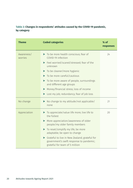#### **Table 2: Changes in respondents' attitudes caused by the COVID-19 pandemic, by category**

| <b>Theme</b>          | <b>Coded categories</b>                                                                                                     | $%$ of<br>responses |
|-----------------------|-----------------------------------------------------------------------------------------------------------------------------|---------------------|
| Awareness/<br>worries | To be more health conscious; fear of<br>COVID-19 infection                                                                  | 24                  |
|                       | Feel worried/scared/stressed; fear of the<br>▶<br>unknown                                                                   |                     |
|                       | To be cleaner/more hygienic<br>▶                                                                                            |                     |
|                       | To be more careful/cautious                                                                                                 |                     |
|                       | To be more aware of people, surroundings<br>and different age groups                                                        |                     |
|                       | Money/financial stress; loss of income                                                                                      |                     |
|                       | Lost my job; redundancy; fear of job loss                                                                                   |                     |
| No change             | No change to my attitude/not applicable/<br>none                                                                            | 21                  |
| Appreciation          | To appreciate/value life more; live life to<br>the fullest                                                                  | 20                  |
|                       | More appreciation/awareness of older<br>$\blacktriangleright$<br>people/my older family members                             |                     |
|                       | To reset/simplify my life; be more<br>adaptable; be open to change                                                          |                     |
|                       | Grateful to live in New Zealand; grateful for<br>government's swift response to pandemic;<br>grateful for team of 5 million |                     |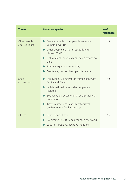| <b>Theme</b>                   | <b>Coded categories</b>                                                                                                                                                                                                                                                  | $%$ of<br>responses |
|--------------------------------|--------------------------------------------------------------------------------------------------------------------------------------------------------------------------------------------------------------------------------------------------------------------------|---------------------|
| Older people<br>and resilience | Feel vulnerable/older people are more<br>vulnerable/at risk<br>• Older people are more susceptible to<br>illness/COVID-19<br>Risk of dying; people dying; dying before my<br>time                                                                                        | 19                  |
|                                | Tolerance/patience/empathy<br>Resilience; how resilient people can be                                                                                                                                                                                                    |                     |
| Social<br>connection           | Family; family time; valuing time spent with<br>family and friends<br>Isolation/loneliness; older people are<br>isolated<br>Socialisation; became less social; staying at<br>home more<br>Travel restrictions; less likely to travel;<br>unable to visit family overseas | 10                  |
| Others                         | Others/don't know<br>Everything; COVID-19 has changed the world<br>Vaccine – positive/negative mentions                                                                                                                                                                  | 26                  |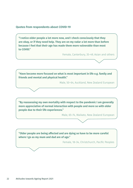#### **Quotes from respondents about COVID-19**

**"I notice older people a lot more now, and I check consciously that they are okay, or if they need help. They are on my radar a lot more than before because I feel that their age has made them more vulnerable than most to COVID."** 

Female, Canterbury, 35–49, Asian and others

**"Have become more focused on what is most important in life e.g. family and friends and mental and physical health."**

Male, 50–64, Auckland, New Zealand European

**"By reassessing my own mortality with respect to the pandemic I am generally more appreciative of normal interaction with people and more so with older people due to their life experiences."** 

Male, 65–74, Waikato, New Zealand European

**"Older people are being affected and are dying so have to be more careful where I go as my mum and dad are of age."** 

Female, 18–34, Christchurch, Pacific Peoples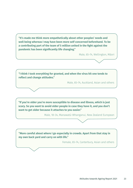**"It's made me think more empathetically about other peoples' needs and well being whereas I may have been more self concerned beforehand. To be a contributing part of the team of 5 million united in the fight against the pandemic has been significantly life changing."** 

Male, 65–74, Wellington, Māori

**"I think I took everything for granted, and when the virus hit one tends to reflect and change attitudes."** 

Male, 65–74, Auckland, Asian and others

**"If you're older you're more susceptible to disease and illness, which is just scary. So you want to avoid older people in case they have it, and you don't want to get older because it attaches to you easier."** 

Male, 18–34, Manawatū-Whanganui, New Zealand European

**"More careful about where I go especially in crowds. Apart from that stay in my own back yard and carry on with life."** 

Female, 65–74, Canterbury, Asian and others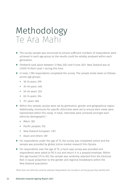### <span id="page-25-0"></span>Methodology Te Ara Mahi

- ▶ The survey sample was structured to ensure sufficient numbers of respondents were achieved in each age group so the results could be reliably analysed within each generation.
- ▶ Fieldwork took place between 13 May 2021 and 9 June 2021. New Zealand was at COVID-19 Alert Level 1 during this time.
- ▶ In total, 1,780 respondents completed the survey. The sample broke down as follows across age groups:
	- ► 18–34 years: 399
	- ► 35–49 years: 400
	- ► 50–64 years: 203
	- ► 65–74 years: 204
	- ► 75+ years: 566
- ▶ Within this sample, quotas were set by generation, gender and geographical region. Additionally, minimums for specific ethnicities were set to ensure their views were represented within this study. In total, interviews were achieved amongst each ethnicity demographic:<sup>1</sup>
	- ► Māori: 282
	- ► Pacific peoples: 102
	- ► New Zealand European: 1,161
	- ► Asian and others: 381
- $\triangleright$  For respondents under the age of 75, the survey was completed online and the sample was provided by global online market research firm Dynata.
- ▶ For respondents over the age of 75, a hard copy survey was provided and respondents were asked to fill it out and return it in a prepaid envelope. Within this age bracket (75 to 90), the sample was randomly selected from the Electoral Roll in equal proportion to the gender and regional breakdowns within the New Zealand population.

More than one ethnicity could be selected. Respondents are counted in all the groups they identify with.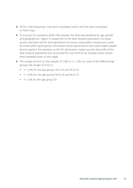- ▶ Of the 1,780 responses, 1,255 were completed online and 525 were completed on hard copy.
- ▶ To account for variations within the sample, the data was weighted by age, gender and geographical region in proportion to the New Zealand population. As equal quotas had been set for each generation to ensure meaningful comparisons could be made within generations, this meant certain generations had lower/higher weight factors applied. For example, as the 75+ generation makes up only about 8% of the New Zealand population but accounted for one third of our sample, these results were weighted down at this stage.
- ▶ The margin of error on the sample of 1,780 is +/− 2.3%. For each of the different age groups, the margin of error is:
	- ► +/− 4.9% for the age groups 18 to 34 and 35 to 49
	- ► +/− 6.9% for the age groups 50 to 64 and 65 to 74
	- ► +/− 4.1% for the age group 75+.